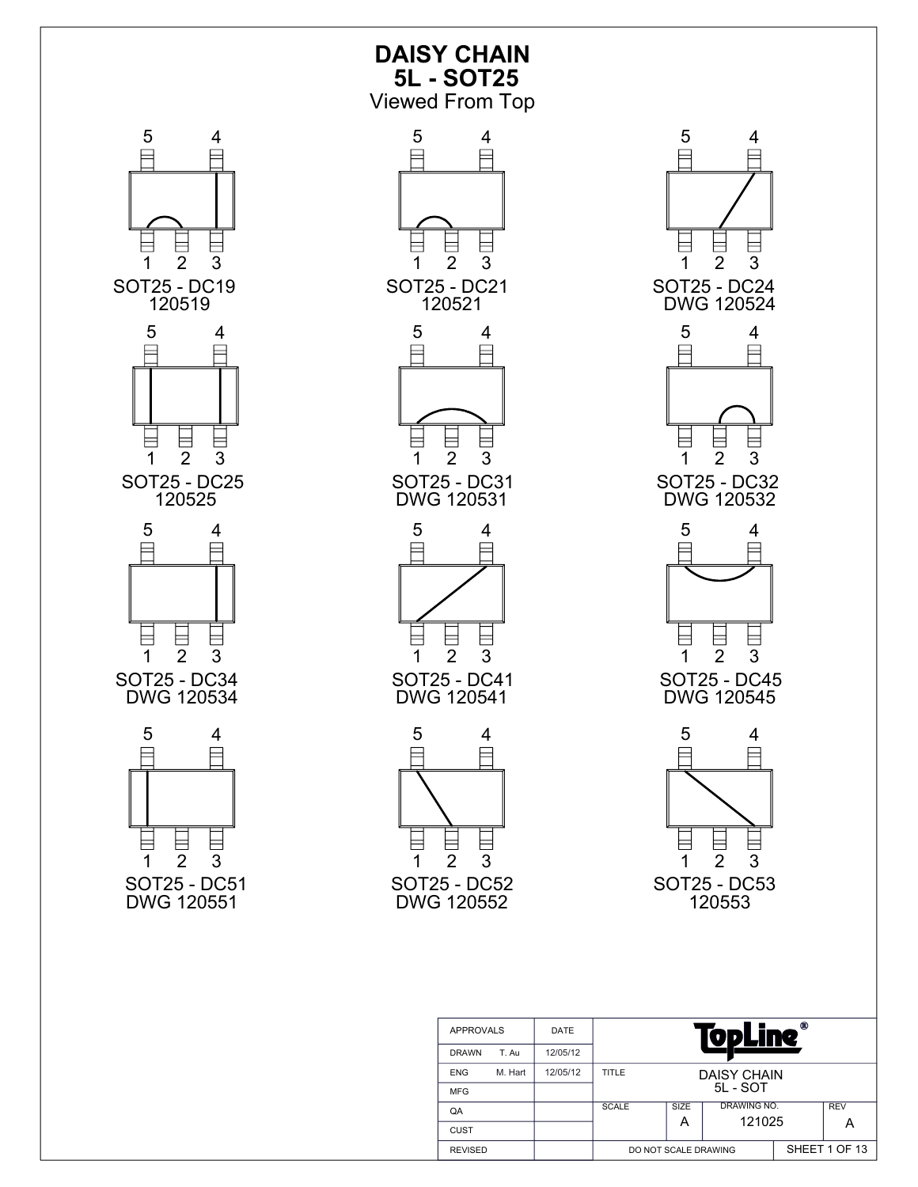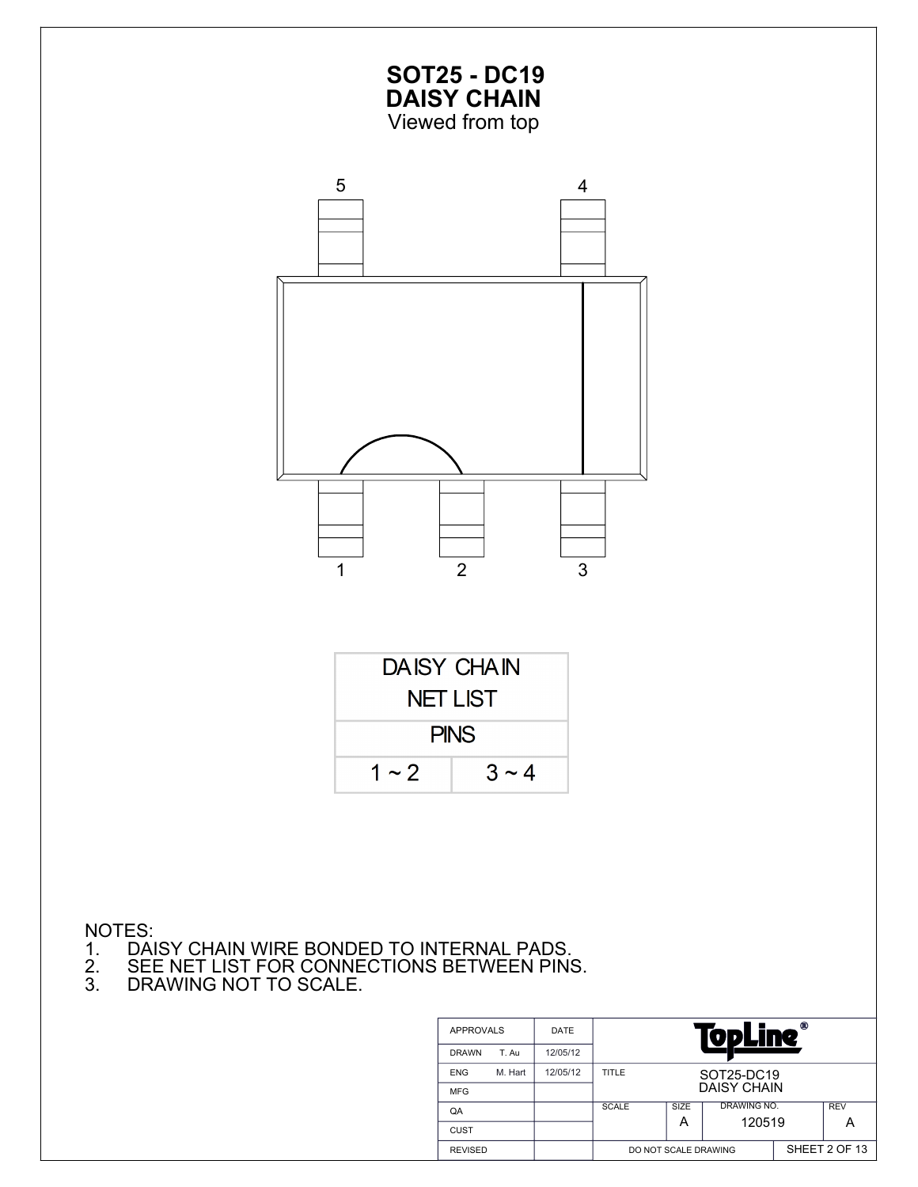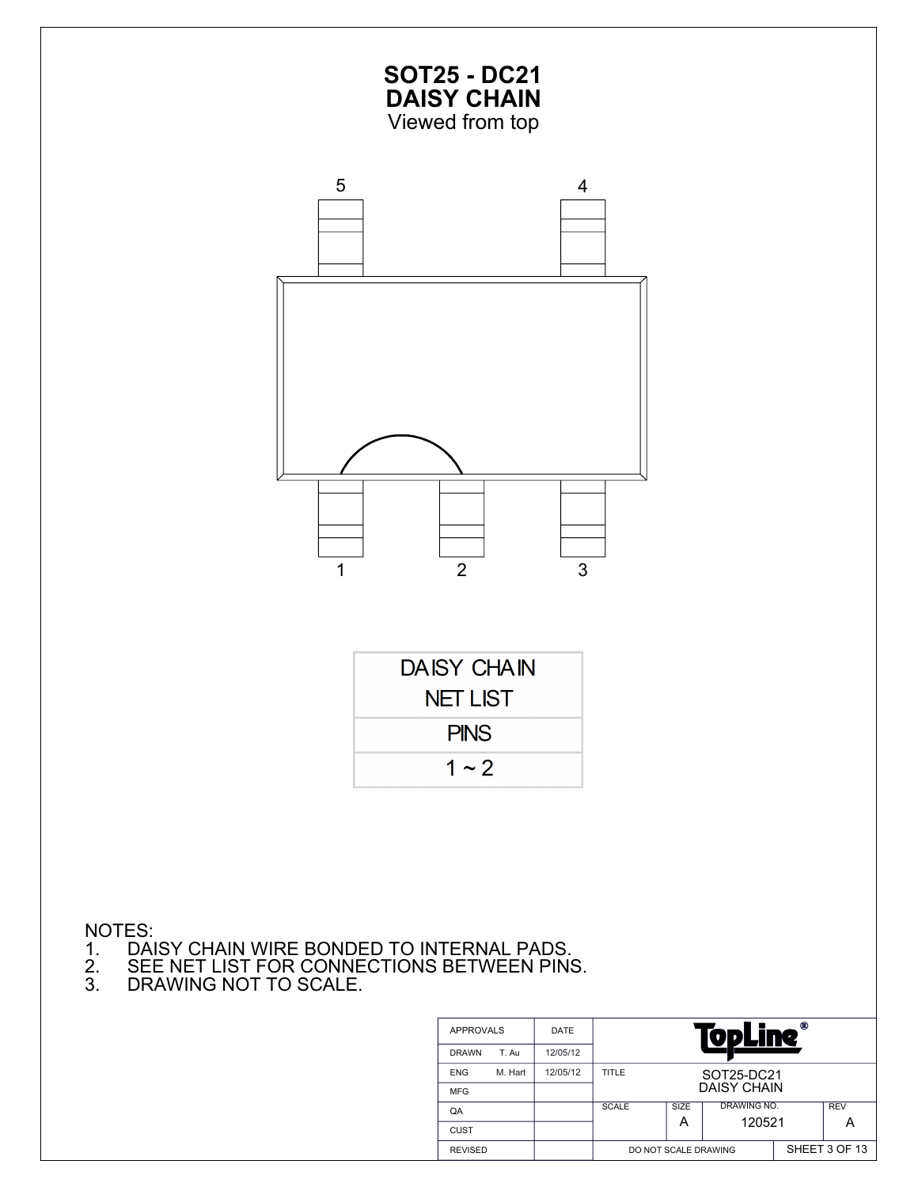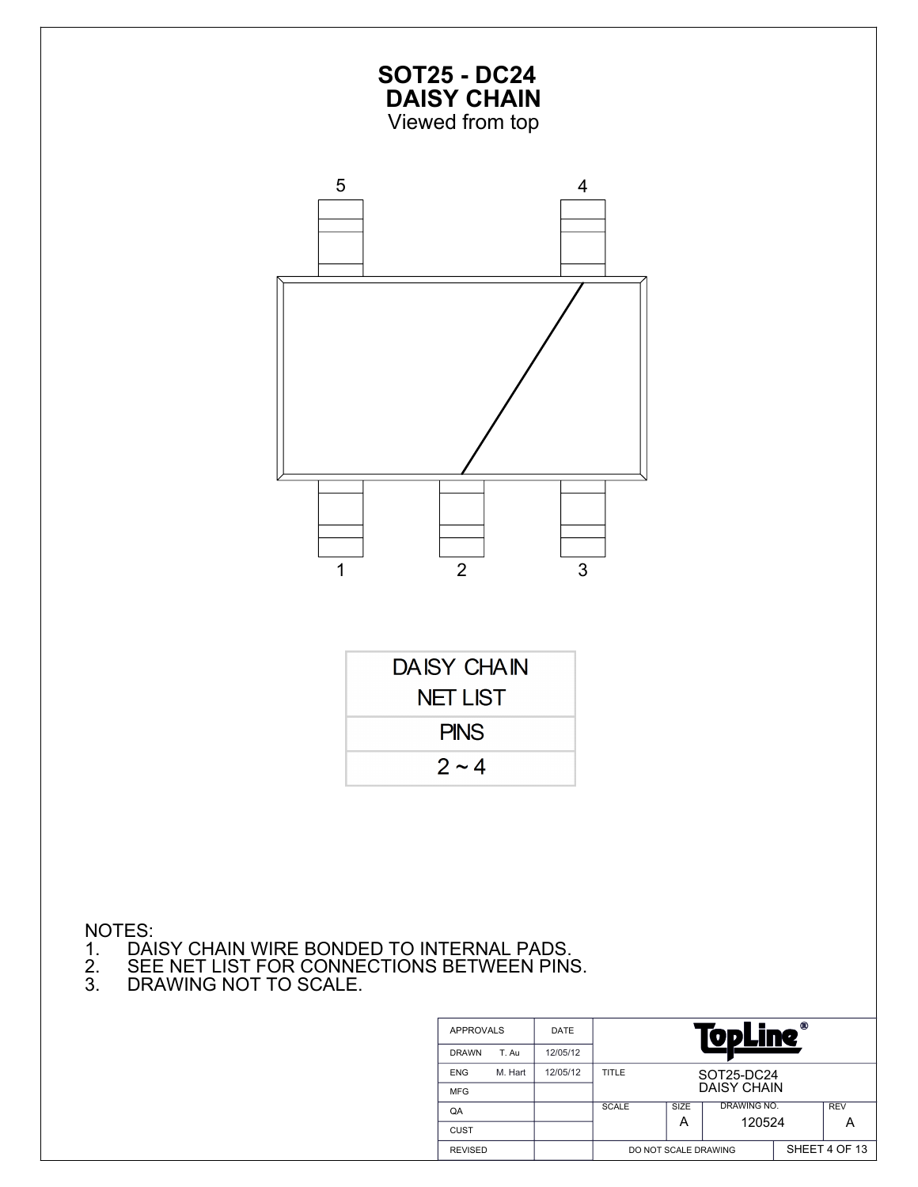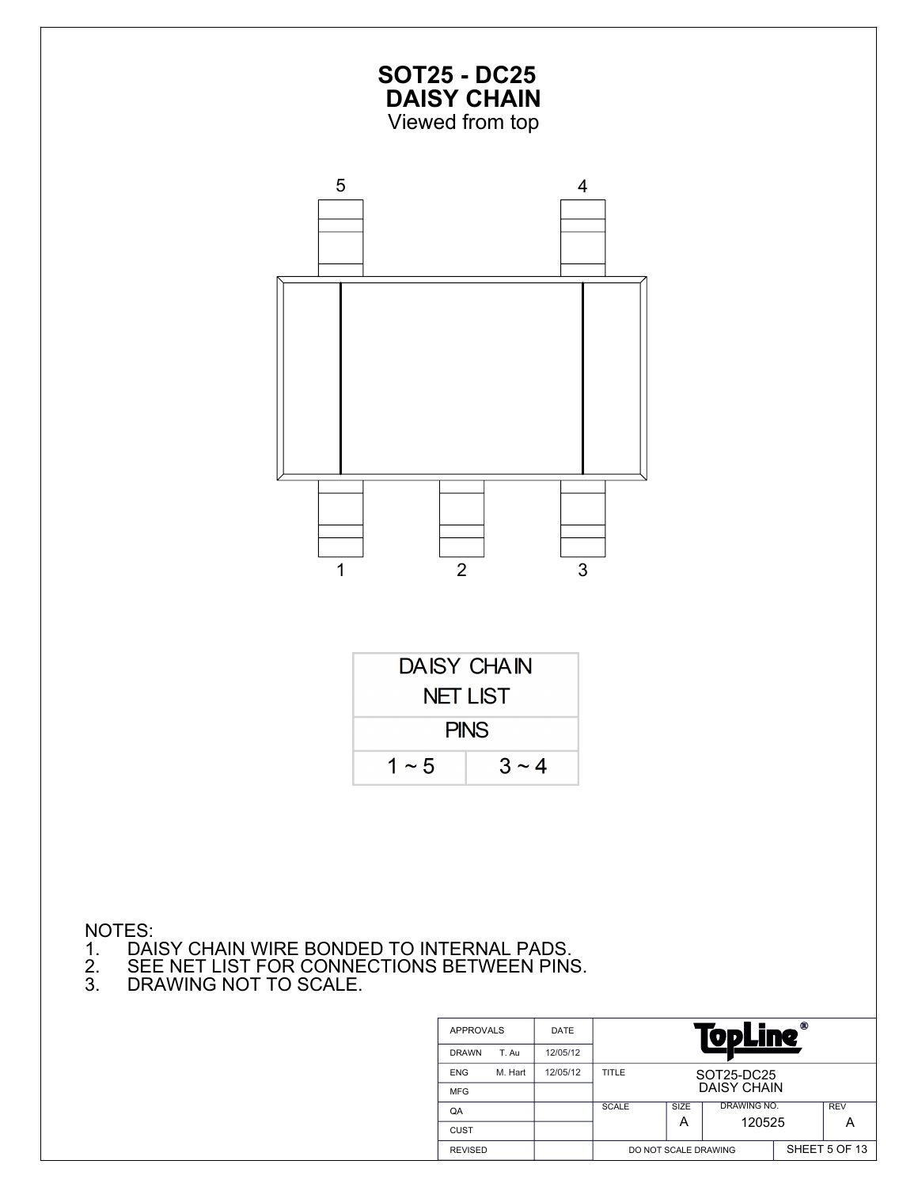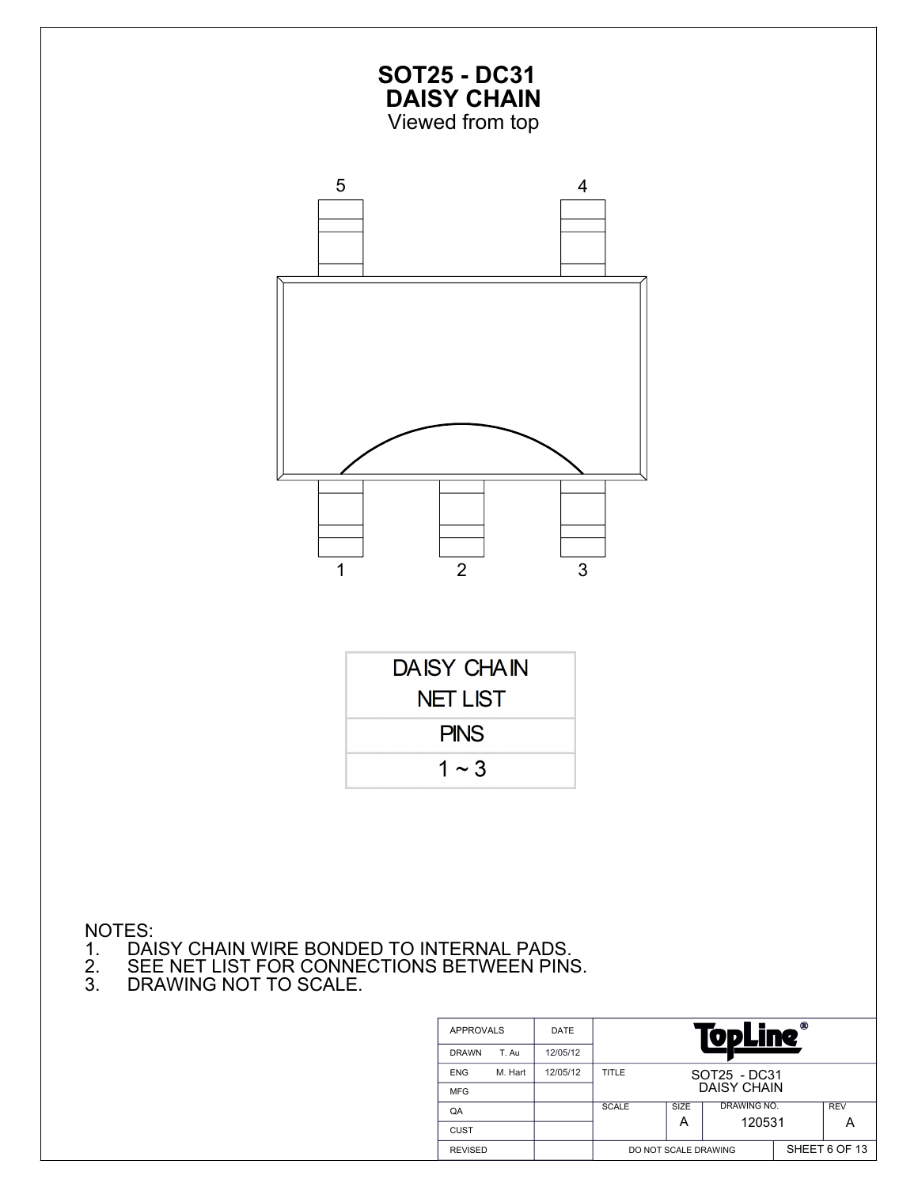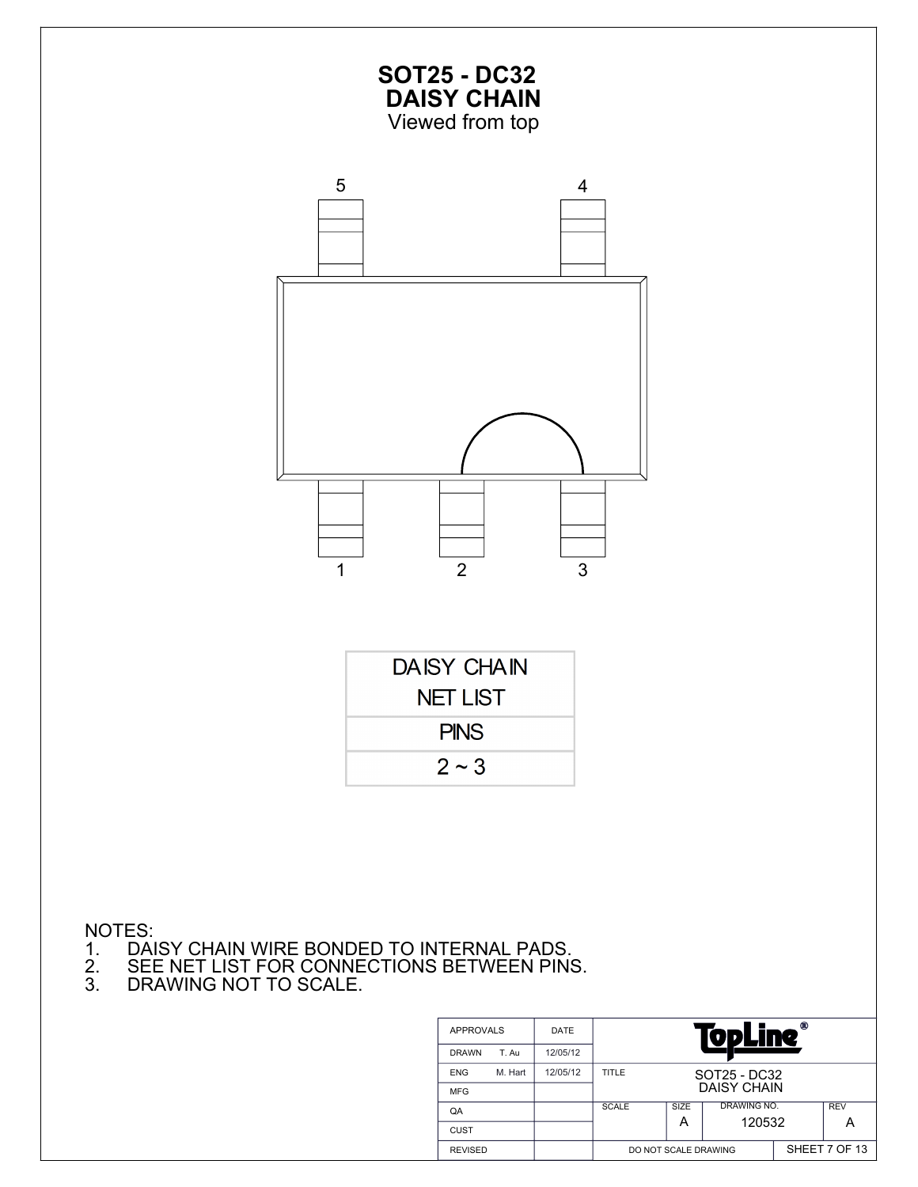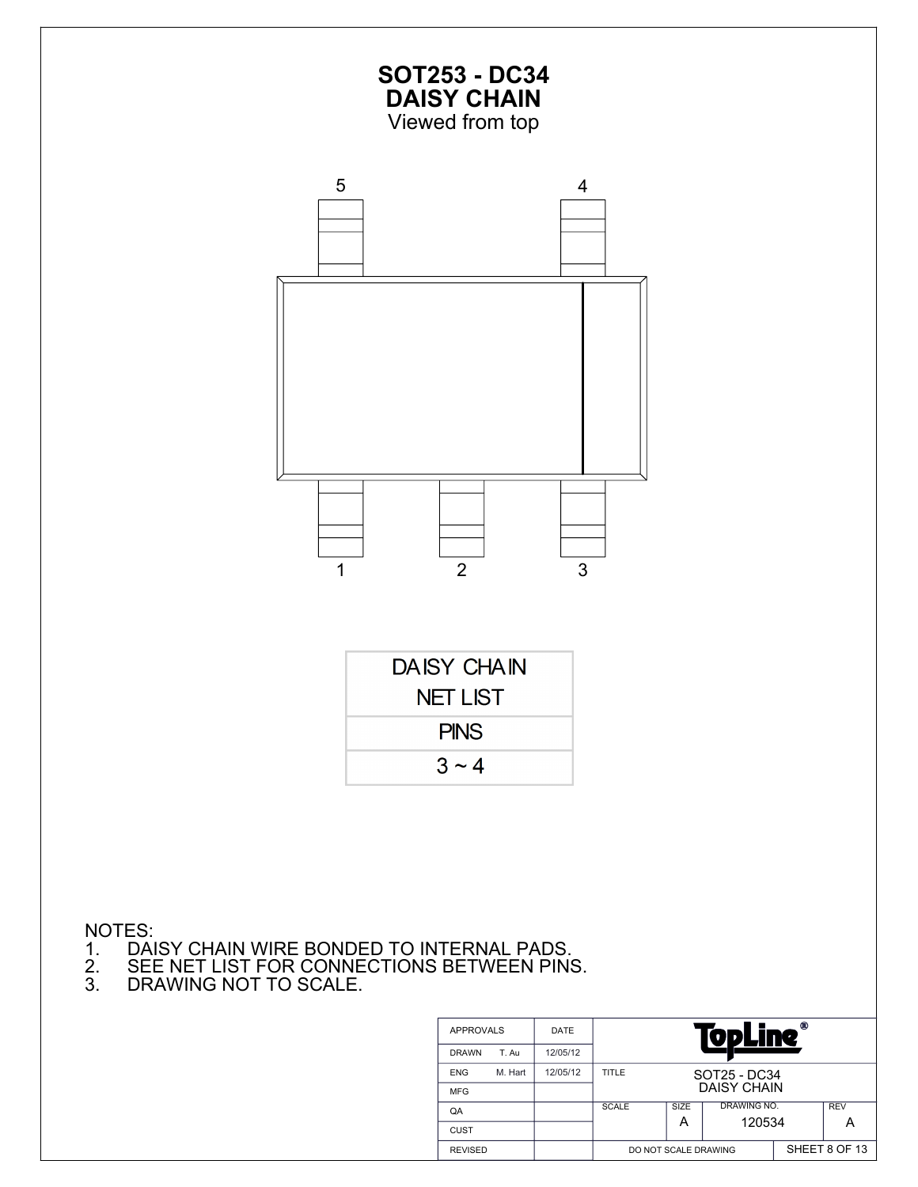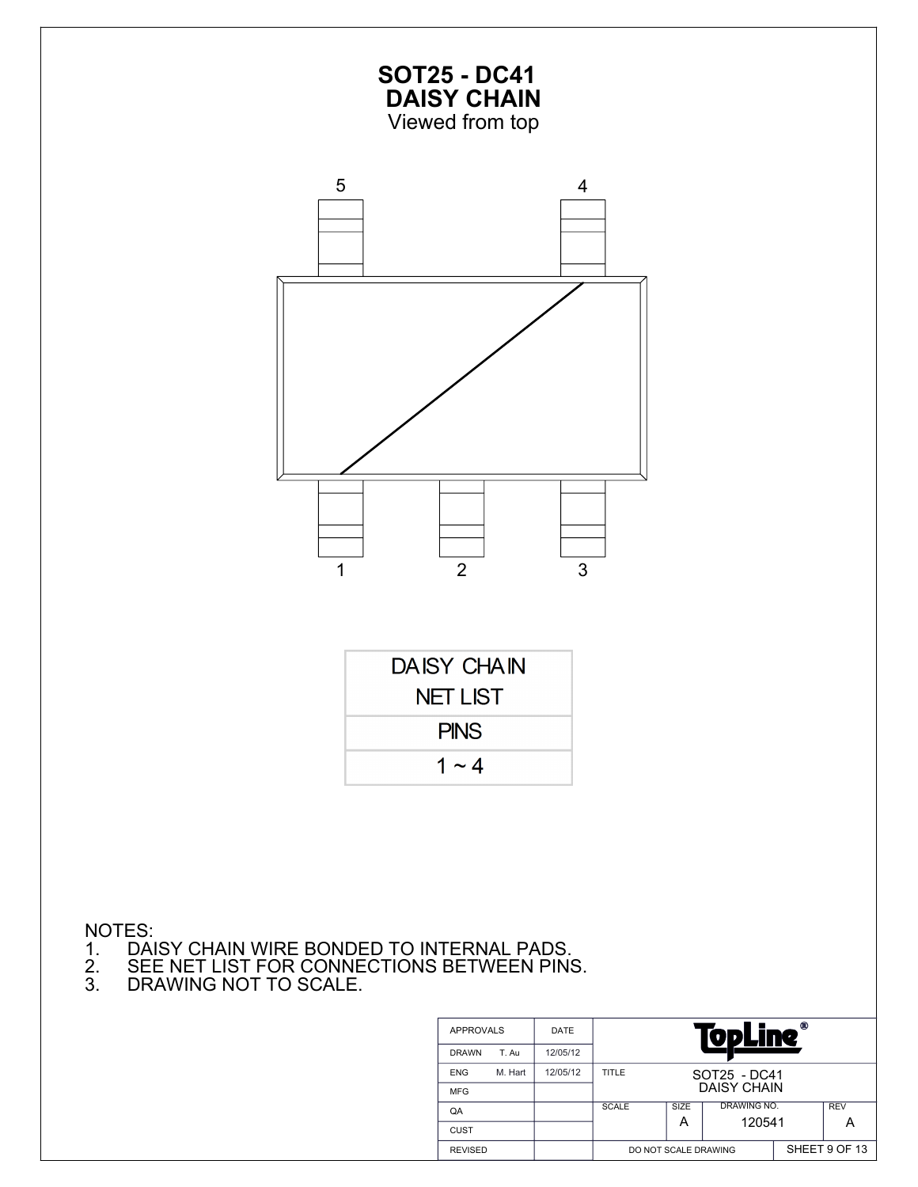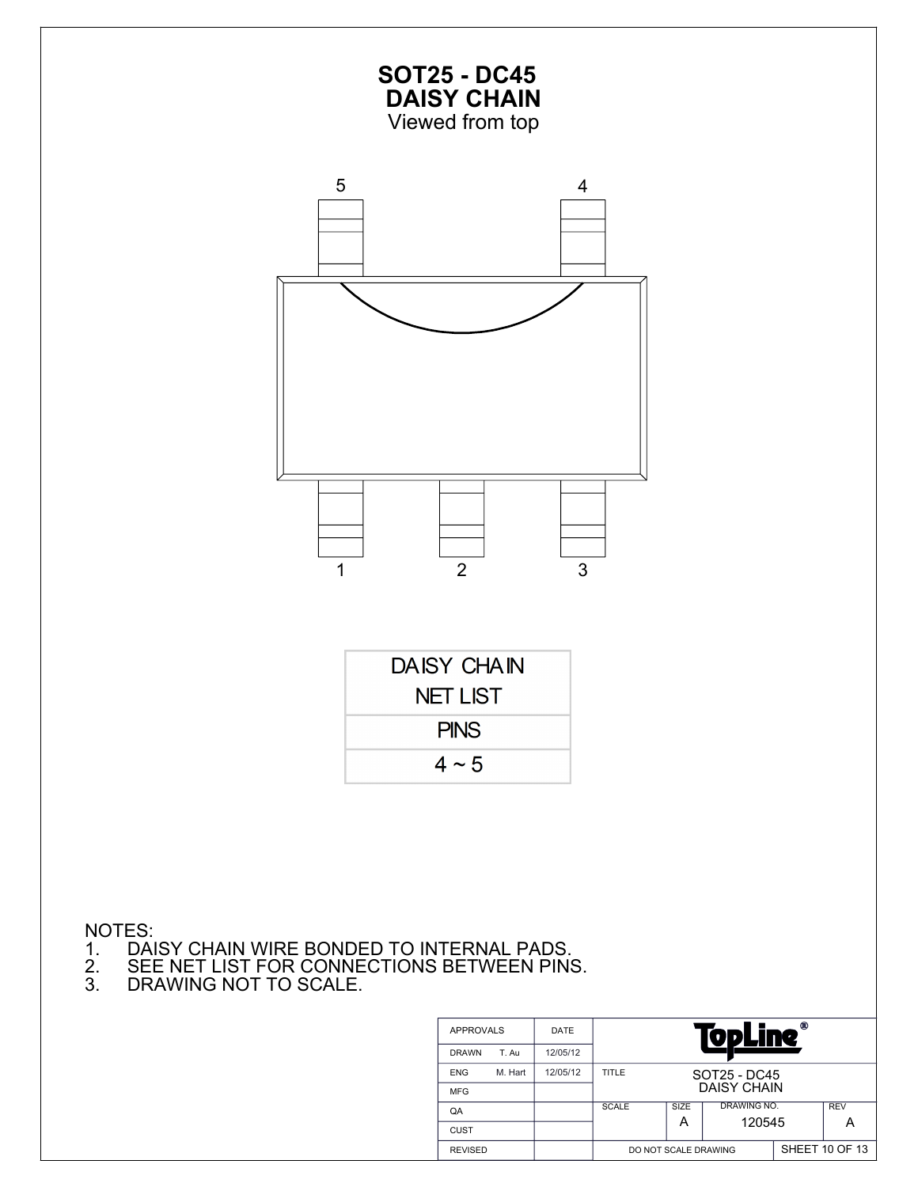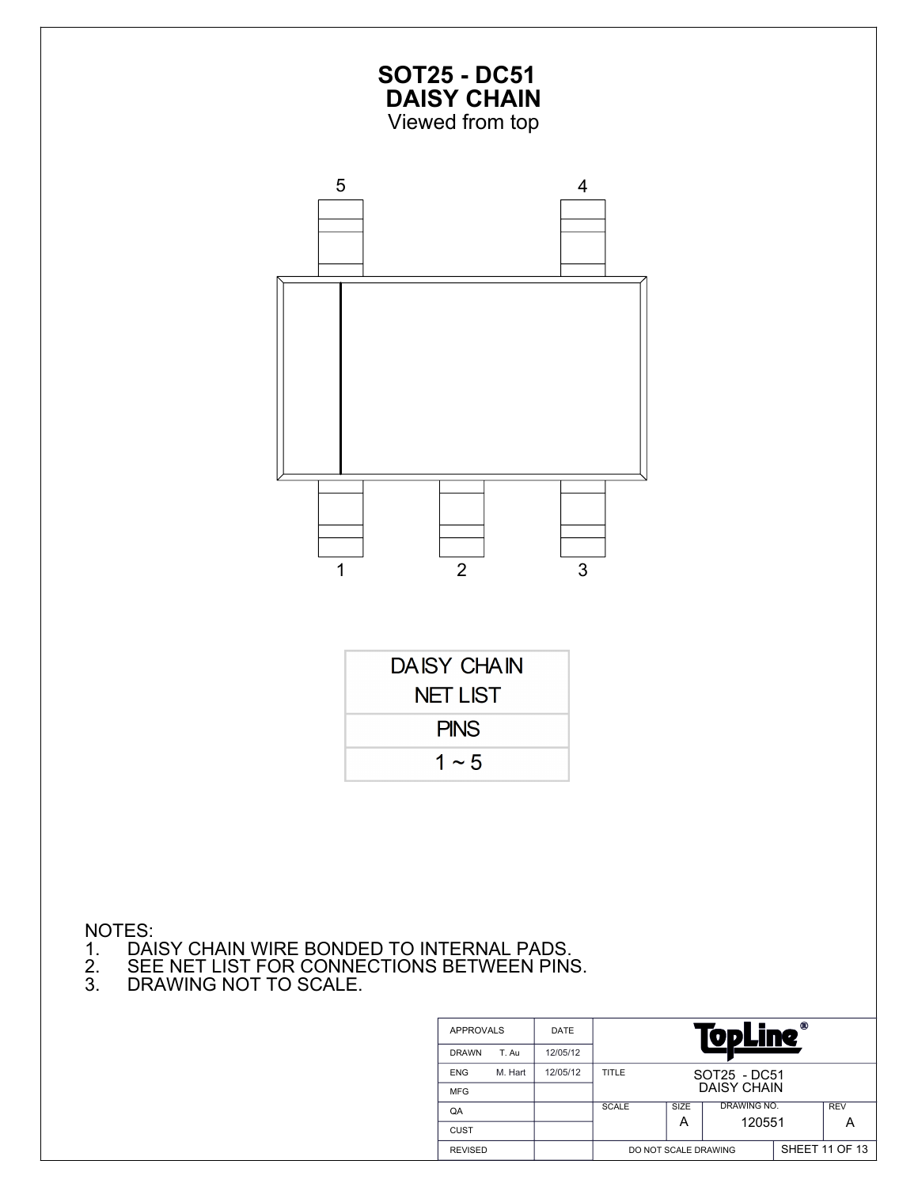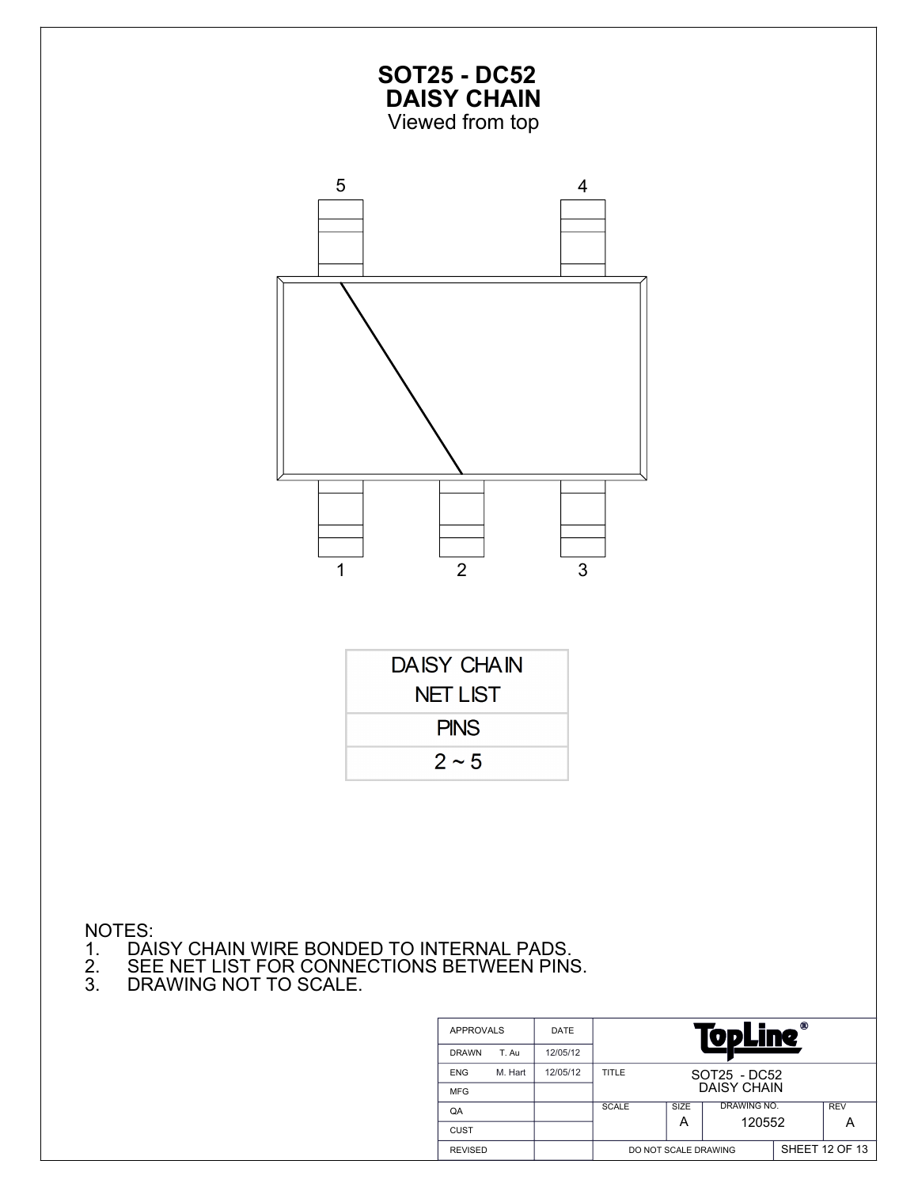